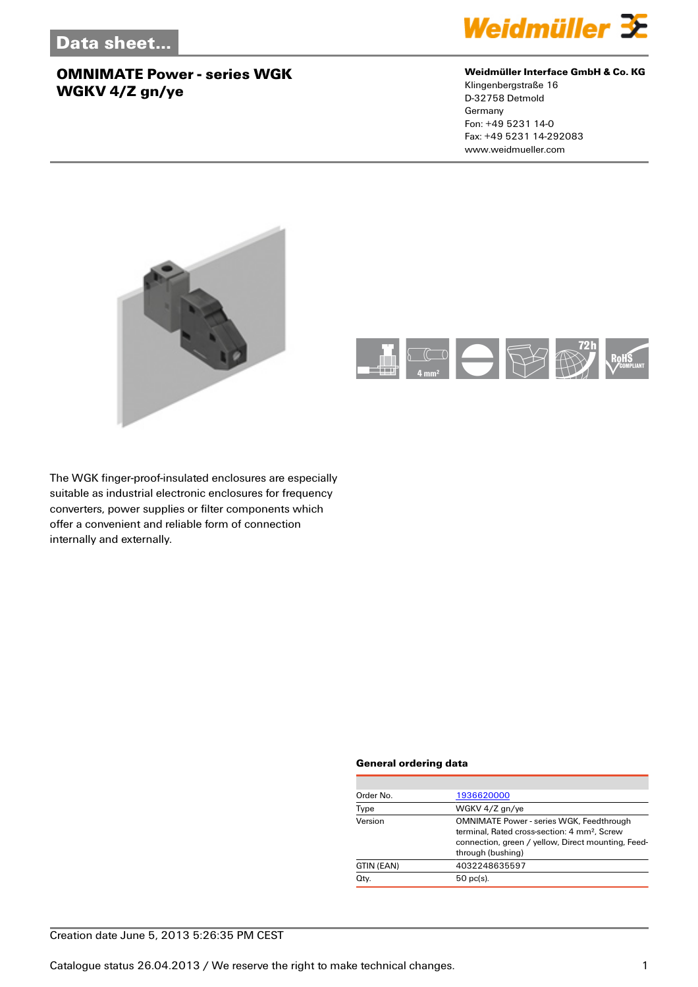

#### **Weidmüller Interface GmbH & Co. KG**

Klingenbergstraße 16 D-32758 Detmold Germany Fon: +49 5231 14-0 Fax: +49 5231 14-292083 www.weidmueller.com





The WGK finger-proof-insulated enclosures are especially suitable as industrial electronic enclosures for frequency converters, power supplies or filter components which offer a convenient and reliable form of connection internally and externally.

#### **General ordering data**

| Order No.  | 1936620000                                                                                                                                                                             |
|------------|----------------------------------------------------------------------------------------------------------------------------------------------------------------------------------------|
| Type       | WGKV 4/Z gn/ye                                                                                                                                                                         |
| Version    | <b>OMNIMATE Power - series WGK, Feedthrough</b><br>terminal. Rated cross-section: 4 mm <sup>2</sup> . Screw<br>connection, green / yellow, Direct mounting, Feed-<br>through (bushing) |
| GTIN (EAN) | 4032248635597                                                                                                                                                                          |
| Qty.       | $50$ pc(s).                                                                                                                                                                            |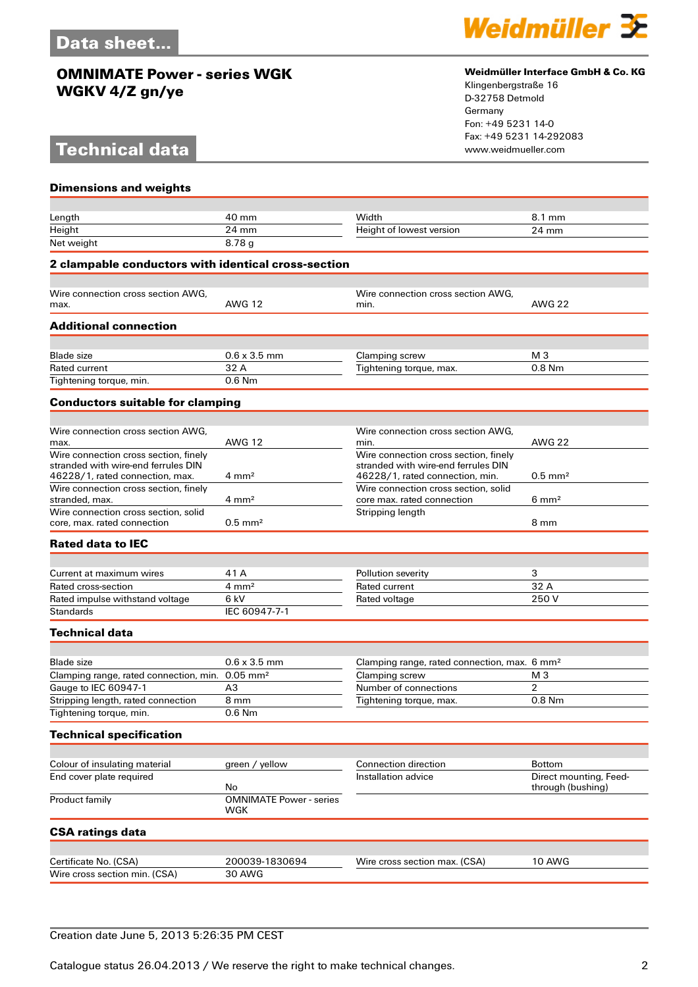# **Technical data**



### **Weidmüller Interface GmbH & Co. KG**

Klingenbergstraße 16 D-32758 Detmold Germany Fon: +49 5231 14-0 Fax: +49 5231 14-292083

| <b>Dimensions and weights</b>                                                                                   |                                       |                                                                                                                 |                        |
|-----------------------------------------------------------------------------------------------------------------|---------------------------------------|-----------------------------------------------------------------------------------------------------------------|------------------------|
|                                                                                                                 |                                       |                                                                                                                 |                        |
| Length                                                                                                          | 40 mm                                 | Width                                                                                                           | 8.1 mm                 |
| Height<br>Net weight                                                                                            | 24 mm<br>8.78g                        | Height of lowest version                                                                                        | 24 mm                  |
| 2 clampable conductors with identical cross-section                                                             |                                       |                                                                                                                 |                        |
|                                                                                                                 |                                       |                                                                                                                 |                        |
| Wire connection cross section AWG,                                                                              |                                       | Wire connection cross section AWG,                                                                              |                        |
| max.                                                                                                            | <b>AWG 12</b>                         | min.                                                                                                            | <b>AWG 22</b>          |
| <b>Additional connection</b>                                                                                    |                                       |                                                                                                                 |                        |
| <b>Blade</b> size                                                                                               | $0.6 \times 3.5$ mm                   | Clamping screw                                                                                                  | M <sub>3</sub>         |
| Rated current                                                                                                   | 32 A                                  | Tightening torque, max.                                                                                         | $0.8$ Nm               |
| Tightening torque, min.                                                                                         | $0.6$ Nm                              |                                                                                                                 |                        |
| <b>Conductors suitable for clamping</b>                                                                         |                                       |                                                                                                                 |                        |
|                                                                                                                 |                                       |                                                                                                                 |                        |
| Wire connection cross section AWG.<br>max.                                                                      | <b>AWG 12</b>                         | Wire connection cross section AWG.<br>min.                                                                      | <b>AWG 22</b>          |
| Wire connection cross section, finely<br>stranded with wire-end ferrules DIN<br>46228/1, rated connection, max. | $4 \text{ mm}^2$                      | Wire connection cross section, finely<br>stranded with wire-end ferrules DIN<br>46228/1, rated connection, min. | $0.5$ mm <sup>2</sup>  |
| Wire connection cross section, finely<br>stranded, max.                                                         | $4 \text{ mm}^2$                      | Wire connection cross section, solid<br>core max. rated connection                                              | $6 \text{ mm}^2$       |
| Wire connection cross section, solid<br>core, max, rated connection                                             | $0.5$ mm <sup>2</sup>                 | Stripping length                                                                                                | 8 mm                   |
| <b>Rated data to IEC</b>                                                                                        |                                       |                                                                                                                 |                        |
|                                                                                                                 |                                       |                                                                                                                 |                        |
| Current at maximum wires<br>Rated cross-section                                                                 | 41 A<br>$4 \text{ mm}^2$              | Pollution severity<br>Rated current                                                                             | 3<br>32 A              |
| Rated impulse withstand voltage                                                                                 | 6 kV                                  | Rated voltage                                                                                                   | 250V                   |
| <b>Standards</b>                                                                                                | IEC 60947-7-1                         |                                                                                                                 |                        |
| <b>Technical data</b>                                                                                           |                                       |                                                                                                                 |                        |
|                                                                                                                 |                                       |                                                                                                                 |                        |
| <b>Blade</b> size                                                                                               | $0.6 \times 3.5$ mm                   | Clamping range, rated connection, max. 6 mm <sup>2</sup>                                                        |                        |
| Clamping range, rated connection, min. 0.05 mm <sup>2</sup>                                                     |                                       | Clamping screw                                                                                                  | M <sub>3</sub>         |
| Gauge to IEC 60947-1                                                                                            | A <sub>3</sub>                        | Number of connections                                                                                           | 2                      |
| Stripping length, rated connection                                                                              | 8 mm                                  | Tightening torque, max.                                                                                         | $0.8$ Nm               |
| Tightening torque, min.                                                                                         | 0.6 Nm                                |                                                                                                                 |                        |
| <b>Technical specification</b>                                                                                  |                                       |                                                                                                                 |                        |
| Colour of insulating material                                                                                   | green / yellow                        | Connection direction                                                                                            | <b>Bottom</b>          |
| End cover plate required                                                                                        |                                       | Installation advice                                                                                             | Direct mounting, Feed- |
|                                                                                                                 | No                                    |                                                                                                                 | through (bushing)      |
| Product family                                                                                                  | <b>OMNIMATE Power - series</b><br>WGK |                                                                                                                 |                        |
| <b>CSA ratings data</b>                                                                                         |                                       |                                                                                                                 |                        |
|                                                                                                                 |                                       |                                                                                                                 |                        |
| Certificate No. (CSA)                                                                                           | 200039-1830694                        | Wire cross section max. (CSA)                                                                                   | <b>10 AWG</b>          |
| Wire cross section min. (CSA)                                                                                   | <b>30 AWG</b>                         |                                                                                                                 |                        |
|                                                                                                                 |                                       |                                                                                                                 |                        |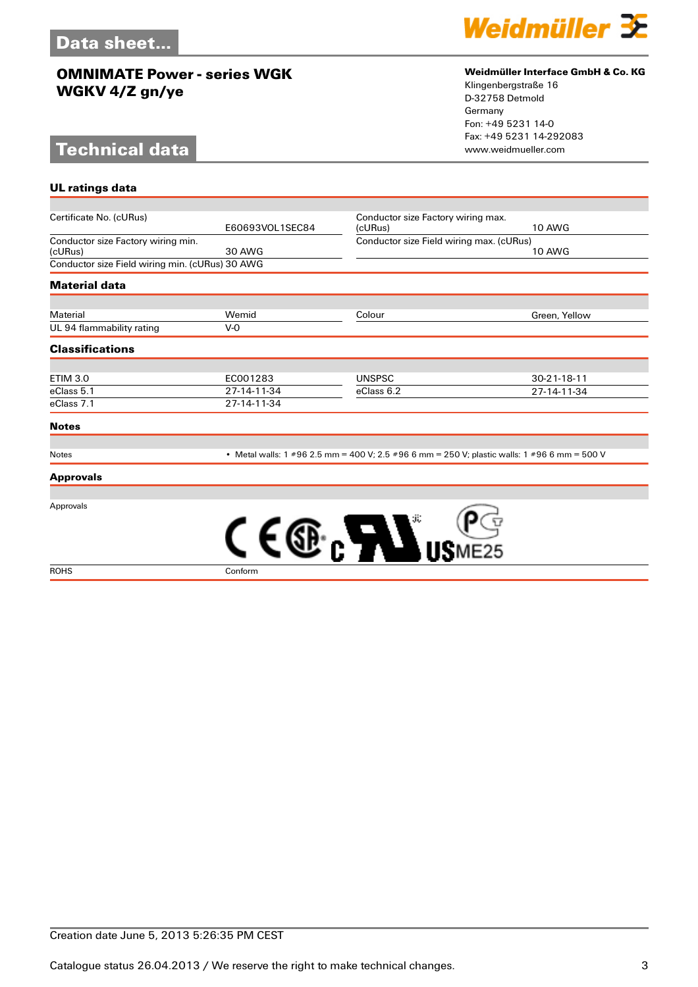# **Technical data**

**UL ratings data**



### **Weidmüller Interface GmbH & Co. KG**

Klingenbergstraße 16 D-32758 Detmold Germany Fon: +49 5231 14-0 Fax: +49 5231 14-292083

| Certificate No. (cURus)                         |                                                                                              |                                          | Conductor size Factory wiring max. |  |
|-------------------------------------------------|----------------------------------------------------------------------------------------------|------------------------------------------|------------------------------------|--|
|                                                 | E60693VOL1SEC84                                                                              | (cURus)                                  | <b>10 AWG</b>                      |  |
| Conductor size Factory wiring min.              |                                                                                              | Conductor size Field wiring max. (cURus) |                                    |  |
| (cURus)                                         | 30 AWG                                                                                       |                                          | <b>10 AWG</b>                      |  |
| Conductor size Field wiring min. (cURus) 30 AWG |                                                                                              |                                          |                                    |  |
| <b>Material data</b>                            |                                                                                              |                                          |                                    |  |
|                                                 |                                                                                              |                                          |                                    |  |
| Material                                        | Wemid                                                                                        | Colour                                   | Green, Yellow                      |  |
| UL 94 flammability rating                       | $V-0$                                                                                        |                                          |                                    |  |
| <b>Classifications</b>                          |                                                                                              |                                          |                                    |  |
| <b>ETIM 3.0</b>                                 | EC001283                                                                                     | <b>UNSPSC</b>                            | $30 - 21 - 18 - 11$                |  |
| eClass 5.1                                      | 27-14-11-34                                                                                  | eClass 6.2                               | 27-14-11-34                        |  |
| eClass 7.1                                      | 27-14-11-34                                                                                  |                                          |                                    |  |
| <b>Notes</b>                                    |                                                                                              |                                          |                                    |  |
|                                                 |                                                                                              |                                          |                                    |  |
| <b>Notes</b>                                    | • Metal walls: 1 #96 2.5 mm = 400 V; 2.5 #96 6 mm = 250 V; plastic walls: 1 #96 6 mm = 500 V |                                          |                                    |  |

### **Approvals**

Approvals